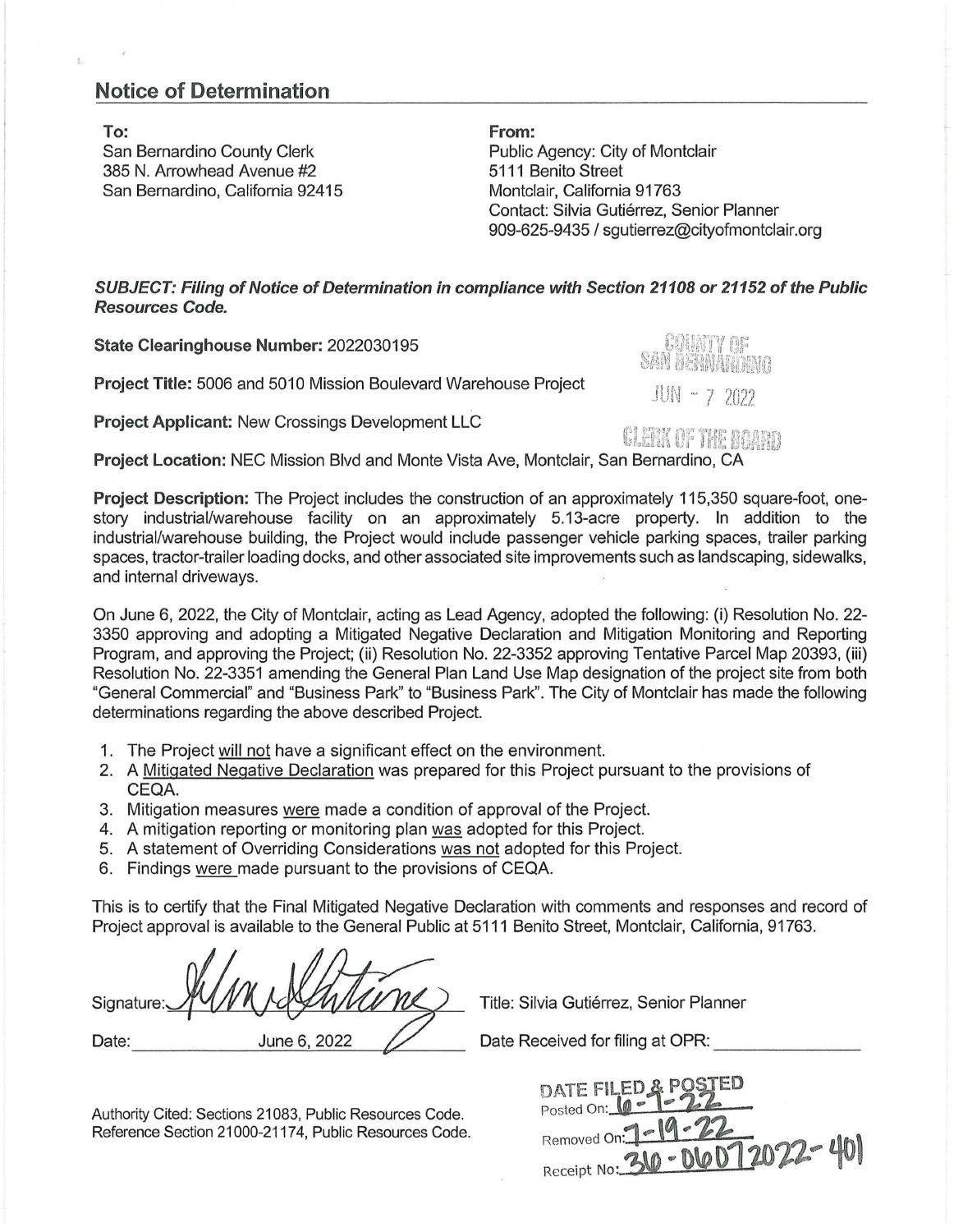## **Notice of Determination**

 $\bar{1}$ 

**To:**  San Bernardino County Clerk 385 N. Arrowhead Avenue #2 San Bernardino, California 92415 **From:**  Public Agency: City of Montclair 5111 Benito Street Montclair, California 91763 Contact: Silvia Gutiérrez, Senior Planner 909-625-9435 I sgutierrez@cityofmontclair.org

[

**SUBJECT: Filing of Notice of Determination in compliance with Section 21108 or 21152 of the Public Resources Code.** 

**State Clearinghouse Number:** 2022030195

**Project Title:** 5006 and 5010 Mission Boulevard Warehouse Project

**Project Applicant:** New Crossings Development LLC



JUN - 7 2022

ti!? ~-.1~~} ~•; '~ir,•/ ,•.1~['["l f."1';1.,/ .. 1 'r,' .

**U.**tin up the Board **Project Location:** NEC Mission Blvd and Monte Vista Ave, Montclair, San Bernardino, CA

**Project Description:** The Project includes the construction of an approximately 115,350 square-foot, onestory industrial/warehouse facility on an approximately 5.13-acre property. In addition to the industrial/warehouse building, the Project would include passenger vehicle parking spaces, trailer parking spaces, tractor-trailer loading docks, and other associated site improvements such as landscaping, sidewalks, and internal driveways.

On June 6, 2022, the City of Montclair, acting as Lead Agency, adopted the following: (i) Resolution No. 22- 3350 approving and adopting a Mitigated Negative Declaration and Mitigation Monitoring and Reporting Program, and approving the Project; (ii) Resolution No. 22-3352 approving Tentative Parcel Map 20393, (iii) Resolution No. 22-3351 amending the General Plan Land Use Map designation of the project site from both "General Commercial" and "Business Park" to "Business Park". The City of Montclair has made the following determinations regarding the above described Project.

- 1. The Project will not have a significant effect on the environment.
- 2. A Mitigated Negative Declaration was prepared for this Project pursuant to the provisions of CEQA.
- 3. Mitigation measures were made a condition of approval of the Project.
- 4. A mitigation reporting or monitoring plan was adopted for this Project.
- 5. A statement of Overriding Considerations was not adopted for this Project.
- 6. Findings were made pursuant to the provisions of CEQA.

This is to certify that the Final Mitigated Negative Declaration with comments and responses and record of Project approval is available to the General Public at 5111 Benito Street, Montclair, California, 91763.

Date: June 6, 2022 **---------'----- -1,,,C--- - -**

Title: Silvia Gutiérrez, Senior Planner

Date Received for filing at OPR:

DATE FILED & POS Posted On: 10 Removed On Receipt No:

Authority Cited: Sections 21083, Public Resources Code. Reference Section 21000-21174, Public Resources Code.